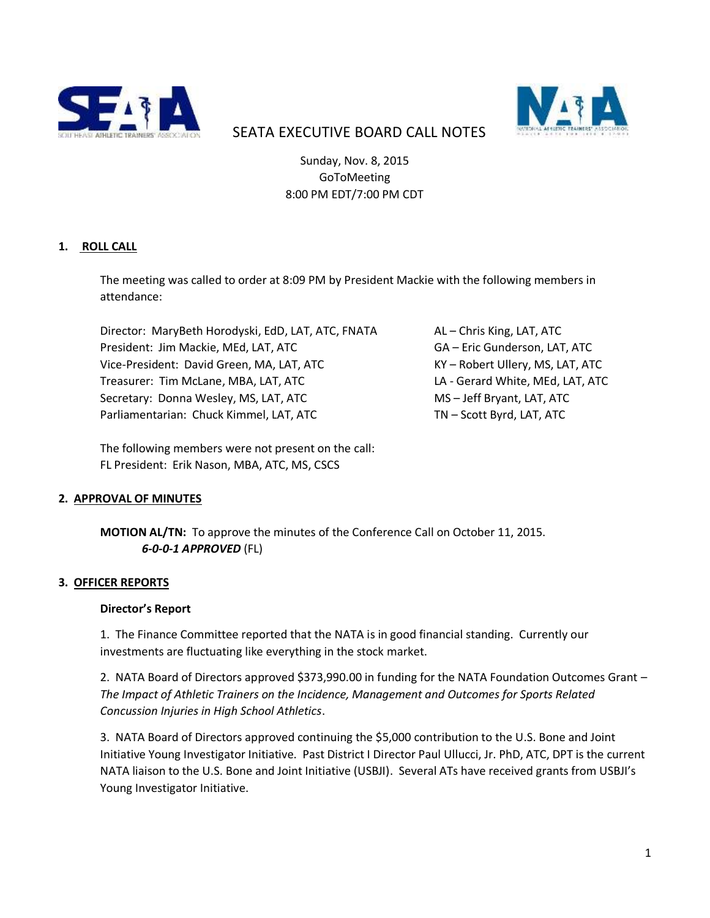



# SEATA EXECUTIVE BOARD CALL NOTES

Sunday, Nov. 8, 2015 GoToMeeting 8:00 PM EDT/7:00 PM CDT

## **1. ROLL CALL**

The meeting was called to order at 8:09 PM by President Mackie with the following members in attendance:

Director: MaryBeth Horodyski, EdD, LAT, ATC, FNATA AL - Chris King, LAT, ATC President: Jim Mackie, MEd, LAT, ATC 6GA – Eric Gunderson, LAT, ATC Vice-President: David Green, MA, LAT, ATC KY – Robert Ullery, MS, LAT, ATC Treasurer: Tim McLane, MBA, LAT, ATC LA - Gerard White, MEd, LAT, ATC Secretary: Donna Wesley, MS, LAT, ATC MS – Jeff Bryant, LAT, ATC Parliamentarian: Chuck Kimmel, LAT, ATC TN - Scott Byrd, LAT, ATC

The following members were not present on the call: FL President: Erik Nason, MBA, ATC, MS, CSCS

## **2. APPROVAL OF MINUTES**

**MOTION AL/TN:** To approve the minutes of the Conference Call on October 11, 2015. *6-0-0-1 APPROVED* (FL)

## **3. OFFICER REPORTS**

#### **Director's Report**

1. The Finance Committee reported that the NATA is in good financial standing. Currently our investments are fluctuating like everything in the stock market.

2. NATA Board of Directors approved \$373,990.00 in funding for the NATA Foundation Outcomes Grant – *The Impact of Athletic Trainers on the Incidence, Management and Outcomes for Sports Related Concussion Injuries in High School Athletics*.

3. NATA Board of Directors approved continuing the \$5,000 contribution to the U.S. Bone and Joint Initiative Young Investigator Initiative. Past District I Director Paul Ullucci, Jr. PhD, ATC, DPT is the current NATA liaison to the U.S. Bone and Joint Initiative (USBJI). Several ATs have received grants from USBJI's Young Investigator Initiative.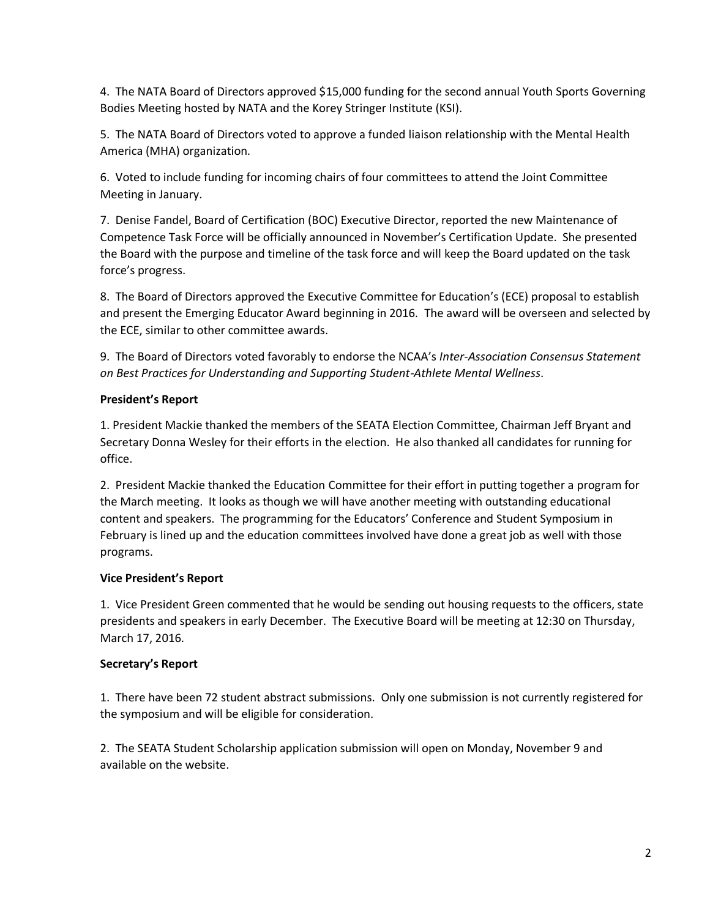4. The NATA Board of Directors approved \$15,000 funding for the second annual Youth Sports Governing Bodies Meeting hosted by NATA and the Korey Stringer Institute (KSI).

5. The NATA Board of Directors voted to approve a funded liaison relationship with the Mental Health America (MHA) organization.

6. Voted to include funding for incoming chairs of four committees to attend the Joint Committee Meeting in January.

7. Denise Fandel, Board of Certification (BOC) Executive Director, reported the new Maintenance of Competence Task Force will be officially announced in November's Certification Update. She presented the Board with the purpose and timeline of the task force and will keep the Board updated on the task force's progress.

8. The Board of Directors approved the Executive Committee for Education's (ECE) proposal to establish and present the Emerging Educator Award beginning in 2016. The award will be overseen and selected by the ECE, similar to other committee awards.

9. The Board of Directors voted favorably to endorse the NCAA's *Inter-Association Consensus Statement on Best Practices for Understanding and Supporting Student-Athlete Mental Wellness*.

## **President's Report**

1. President Mackie thanked the members of the SEATA Election Committee, Chairman Jeff Bryant and Secretary Donna Wesley for their efforts in the election. He also thanked all candidates for running for office.

2. President Mackie thanked the Education Committee for their effort in putting together a program for the March meeting. It looks as though we will have another meeting with outstanding educational content and speakers. The programming for the Educators' Conference and Student Symposium in February is lined up and the education committees involved have done a great job as well with those programs.

## **Vice President's Report**

1. Vice President Green commented that he would be sending out housing requests to the officers, state presidents and speakers in early December. The Executive Board will be meeting at 12:30 on Thursday, March 17, 2016.

## **Secretary's Report**

1. There have been 72 student abstract submissions. Only one submission is not currently registered for the symposium and will be eligible for consideration.

2.The SEATA Student Scholarship application submission will open on Monday, November 9 and available on the website.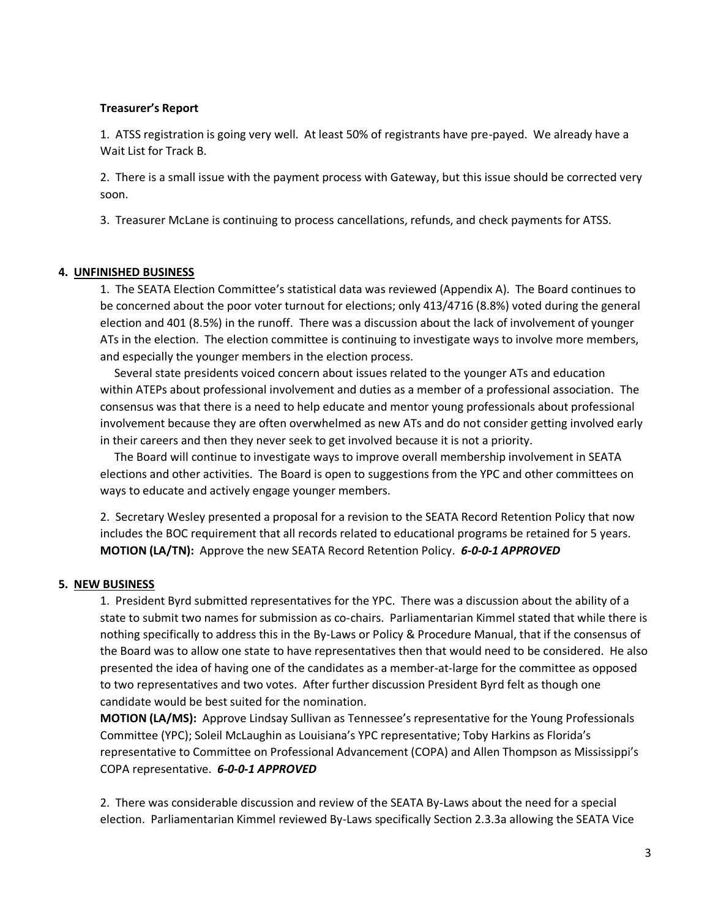#### **Treasurer's Report**

1. ATSS registration is going very well. At least 50% of registrants have pre-payed. We already have a Wait List for Track B.

2. There is a small issue with the payment process with Gateway, but this issue should be corrected very soon.

3. Treasurer McLane is continuing to process cancellations, refunds, and check payments for ATSS.

#### **4. UNFINISHED BUSINESS**

1. The SEATA Election Committee's statistical data was reviewed (Appendix A). The Board continues to be concerned about the poor voter turnout for elections; only 413/4716 (8.8%) voted during the general election and 401 (8.5%) in the runoff. There was a discussion about the lack of involvement of younger ATs in the election. The election committee is continuing to investigate ways to involve more members, and especially the younger members in the election process.

 Several state presidents voiced concern about issues related to the younger ATs and education within ATEPs about professional involvement and duties as a member of a professional association. The consensus was that there is a need to help educate and mentor young professionals about professional involvement because they are often overwhelmed as new ATs and do not consider getting involved early in their careers and then they never seek to get involved because it is not a priority.

 The Board will continue to investigate ways to improve overall membership involvement in SEATA elections and other activities. The Board is open to suggestions from the YPC and other committees on ways to educate and actively engage younger members.

2. Secretary Wesley presented a proposal for a revision to the SEATA Record Retention Policy that now includes the BOC requirement that all records related to educational programs be retained for 5 years. **MOTION (LA/TN):** Approve the new SEATA Record Retention Policy. *6-0-0-1 APPROVED*

## **5. NEW BUSINESS**

1. President Byrd submitted representatives for the YPC. There was a discussion about the ability of a state to submit two names for submission as co-chairs. Parliamentarian Kimmel stated that while there is nothing specifically to address this in the By-Laws or Policy & Procedure Manual, that if the consensus of the Board was to allow one state to have representatives then that would need to be considered. He also presented the idea of having one of the candidates as a member-at-large for the committee as opposed to two representatives and two votes. After further discussion President Byrd felt as though one candidate would be best suited for the nomination.

**MOTION (LA/MS):** Approve Lindsay Sullivan as Tennessee's representative for the Young Professionals Committee (YPC); Soleil McLaughin as Louisiana's YPC representative; Toby Harkins as Florida's representative to Committee on Professional Advancement (COPA) and Allen Thompson as Mississippi's COPA representative. *6-0-0-1 APPROVED*

2. There was considerable discussion and review of the SEATA By-Laws about the need for a special election. Parliamentarian Kimmel reviewed By-Laws specifically Section 2.3.3a allowing the SEATA Vice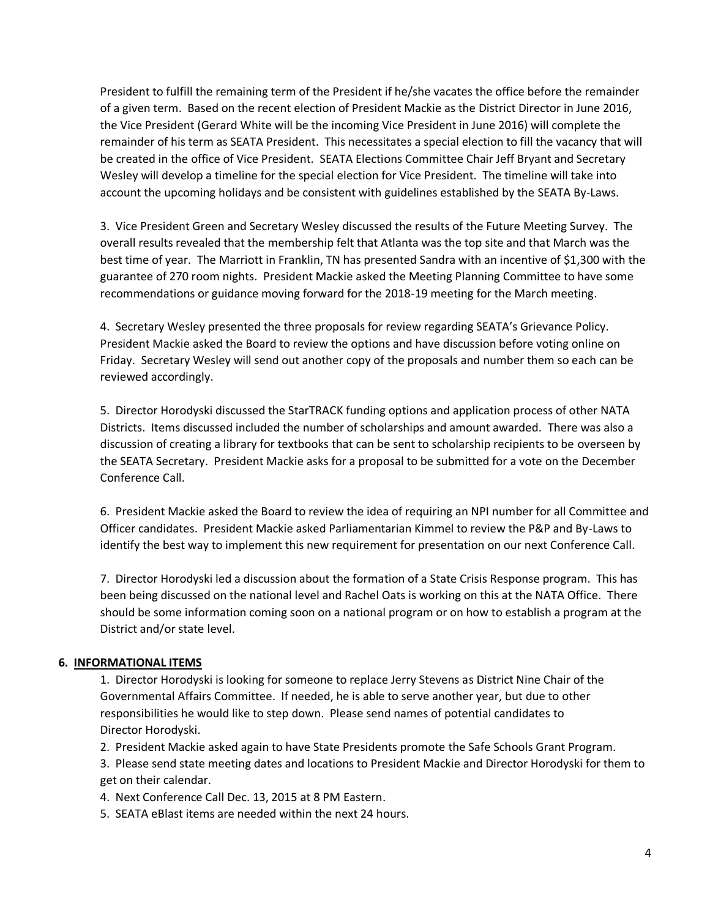President to fulfill the remaining term of the President if he/she vacates the office before the remainder of a given term. Based on the recent election of President Mackie as the District Director in June 2016, the Vice President (Gerard White will be the incoming Vice President in June 2016) will complete the remainder of his term as SEATA President. This necessitates a special election to fill the vacancy that will be created in the office of Vice President. SEATA Elections Committee Chair Jeff Bryant and Secretary Wesley will develop a timeline for the special election for Vice President. The timeline will take into account the upcoming holidays and be consistent with guidelines established by the SEATA By-Laws.

3. Vice President Green and Secretary Wesley discussed the results of the Future Meeting Survey. The overall results revealed that the membership felt that Atlanta was the top site and that March was the best time of year. The Marriott in Franklin, TN has presented Sandra with an incentive of \$1,300 with the guarantee of 270 room nights. President Mackie asked the Meeting Planning Committee to have some recommendations or guidance moving forward for the 2018-19 meeting for the March meeting.

4. Secretary Wesley presented the three proposals for review regarding SEATA's Grievance Policy. President Mackie asked the Board to review the options and have discussion before voting online on Friday. Secretary Wesley will send out another copy of the proposals and number them so each can be reviewed accordingly.

5. Director Horodyski discussed the StarTRACK funding options and application process of other NATA Districts. Items discussed included the number of scholarships and amount awarded. There was also a discussion of creating a library for textbooks that can be sent to scholarship recipients to be overseen by the SEATA Secretary. President Mackie asks for a proposal to be submitted for a vote on the December Conference Call.

6. President Mackie asked the Board to review the idea of requiring an NPI number for all Committee and Officer candidates. President Mackie asked Parliamentarian Kimmel to review the P&P and By-Laws to identify the best way to implement this new requirement for presentation on our next Conference Call.

7. Director Horodyski led a discussion about the formation of a State Crisis Response program. This has been being discussed on the national level and Rachel Oats is working on this at the NATA Office. There should be some information coming soon on a national program or on how to establish a program at the District and/or state level.

## **6. INFORMATIONAL ITEMS**

1. Director Horodyski is looking for someone to replace Jerry Stevens as District Nine Chair of the Governmental Affairs Committee. If needed, he is able to serve another year, but due to other responsibilities he would like to step down. Please send names of potential candidates to Director Horodyski.

2. President Mackie asked again to have State Presidents promote the Safe Schools Grant Program.

3. Please send state meeting dates and locations to President Mackie and Director Horodyski for them to get on their calendar.

4. Next Conference Call Dec. 13, 2015 at 8 PM Eastern.

5. SEATA eBlast items are needed within the next 24 hours.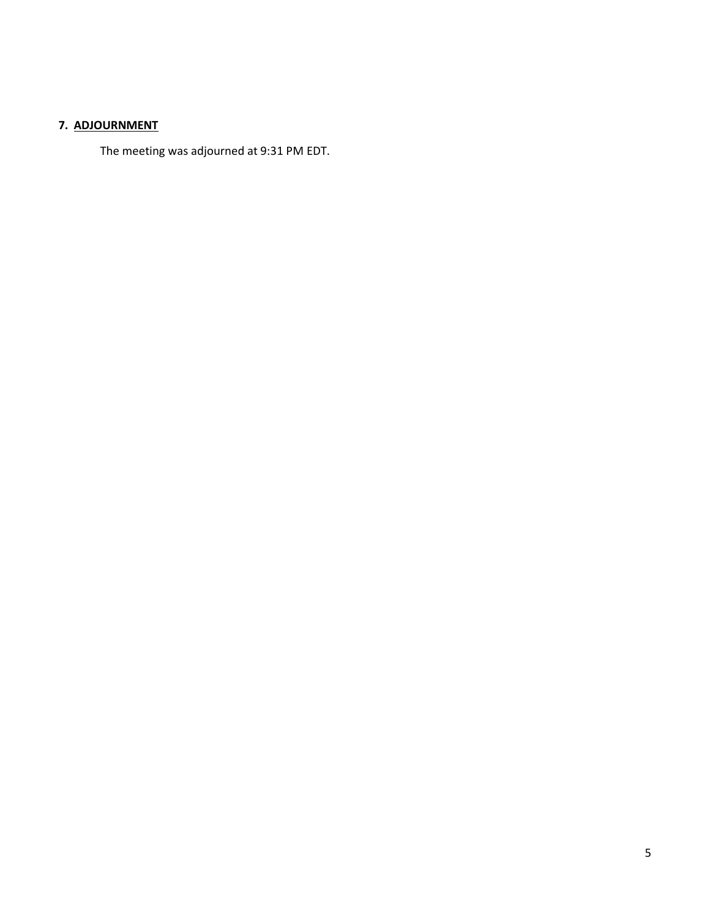# **7. ADJOURNMENT**

The meeting was adjourned at 9:31 PM EDT.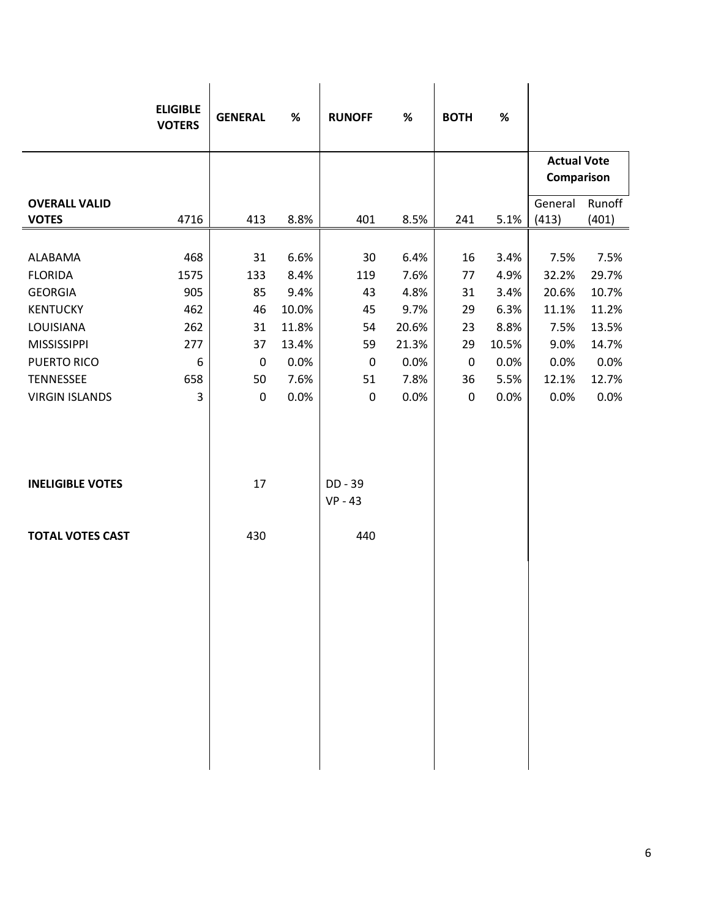|                                           | <b>ELIGIBLE</b> |                   |              |                      |              |                   |              |                                  |                 |
|-------------------------------------------|-----------------|-------------------|--------------|----------------------|--------------|-------------------|--------------|----------------------------------|-----------------|
|                                           | <b>VOTERS</b>   | <b>GENERAL</b>    | $\%$         | <b>RUNOFF</b>        | $\%$         | <b>BOTH</b>       | $\%$         |                                  |                 |
|                                           |                 |                   |              |                      |              |                   |              | <b>Actual Vote</b><br>Comparison |                 |
| <b>OVERALL VALID</b><br><b>VOTES</b>      | 4716            | 413               | 8.8%         | 401                  | 8.5%         | 241               | 5.1%         | General<br>(413)                 | Runoff<br>(401) |
|                                           |                 |                   |              |                      |              |                   |              |                                  |                 |
| ALABAMA                                   | 468             | 31                | 6.6%         | 30                   | 6.4%         | 16                | 3.4%         | 7.5%                             | 7.5%            |
| <b>FLORIDA</b>                            | 1575            | 133               | 8.4%         | 119                  | 7.6%         | 77                | 4.9%         | 32.2%                            | 29.7%           |
| <b>GEORGIA</b>                            | 905             | 85                | 9.4%         | 43                   | 4.8%         | 31                | 3.4%         | 20.6%                            | 10.7%           |
| <b>KENTUCKY</b>                           | 462             | 46                | 10.0%        | 45                   | 9.7%         | 29                | 6.3%         | 11.1%                            | 11.2%           |
| LOUISIANA                                 | 262             | 31                | 11.8%        | 54                   | 20.6%        | 23                | 8.8%         | 7.5%                             | 13.5%           |
| <b>MISSISSIPPI</b>                        | 277             | 37                | 13.4%        | 59                   | 21.3%        | 29                | 10.5%        | 9.0%                             | 14.7%           |
| <b>PUERTO RICO</b>                        | 6               | $\mathbf 0$       | 0.0%         | 0                    | 0.0%         | $\pmb{0}$         | 0.0%         | 0.0%                             | 0.0%<br>12.7%   |
| <b>TENNESSEE</b><br><b>VIRGIN ISLANDS</b> | 658<br>3        | 50<br>$\mathbf 0$ | 7.6%<br>0.0% | 51<br>$\pmb{0}$      | 7.8%<br>0.0% | 36<br>$\mathbf 0$ | 5.5%<br>0.0% | 12.1%<br>0.0%                    | 0.0%            |
|                                           |                 |                   |              |                      |              |                   |              |                                  |                 |
| <b>INELIGIBLE VOTES</b>                   |                 | 17                |              | DD - 39<br>$VP - 43$ |              |                   |              |                                  |                 |
| <b>TOTAL VOTES CAST</b>                   |                 | 430               |              | 440                  |              |                   |              |                                  |                 |
|                                           |                 |                   |              |                      |              |                   |              |                                  |                 |
|                                           |                 |                   |              |                      |              |                   |              |                                  |                 |
|                                           |                 |                   |              |                      |              |                   |              |                                  |                 |
|                                           |                 |                   |              |                      |              |                   |              |                                  |                 |
|                                           |                 |                   |              |                      |              |                   |              |                                  |                 |
|                                           |                 |                   |              |                      |              |                   |              |                                  |                 |
|                                           |                 |                   |              |                      |              |                   |              |                                  |                 |
|                                           |                 |                   |              |                      |              |                   |              |                                  |                 |